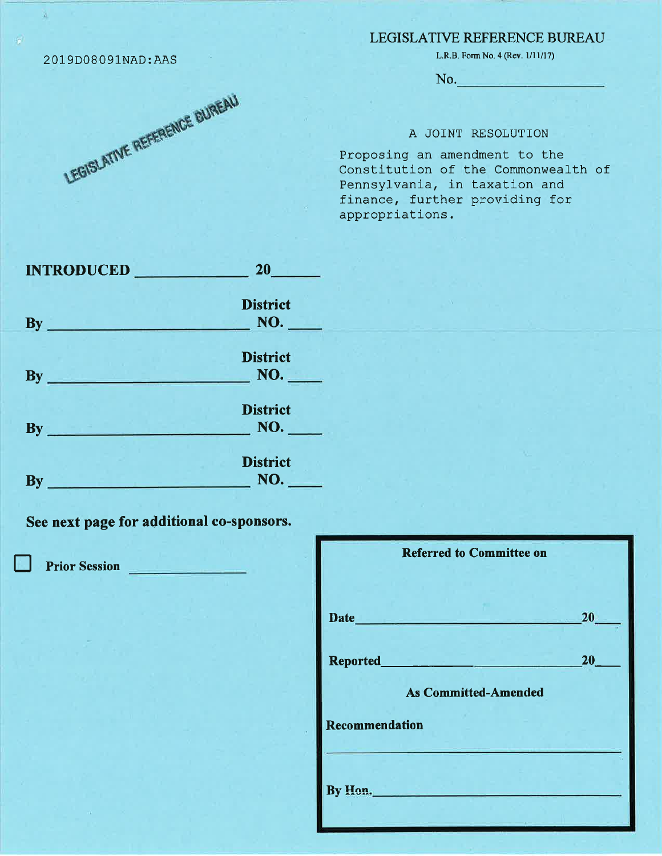## LEGISLATIVE REFERENCE BUREAU

L.R.B. Form No. 4 (Rev.  $1/11/17$ )

No.

## A JOINT RESOLUTION

Proposing an amendment to the Constitution of the Commonwealth of Pennsylvania, in taxation and finance, further providing for appropriations.

| <b>INTRODUCED</b>                  | 20 <sub>1</sub>        |
|------------------------------------|------------------------|
| $\mathbf{B} \mathbf{y}$            | <b>District</b><br>NO. |
| $\mathbf{By}$<br>والمنافس والمنابط | <b>District</b><br>NO. |
| $By_$<br><u>an a maraich</u>       | <b>District</b><br>NO. |
| By                                 | <b>District</b><br>NO. |

See next page for additional co-sponsors.

**Prior Session** 

| <b>Referred to Committee on</b>                                                                                                                                        |                 |
|------------------------------------------------------------------------------------------------------------------------------------------------------------------------|-----------------|
| Date <b>Date Date Date Date Date Date Date Date Date Date Date Date Date Date Date Date Date Date Date Date Date Date Date Date Date Date Date Date Date Date Date</b> | 20              |
|                                                                                                                                                                        | 20 <sub>2</sub> |
| <b>As Committed-Amended</b>                                                                                                                                            |                 |
| Recommendation                                                                                                                                                         |                 |
| By Hon.                                                                                                                                                                |                 |



2019D08091NAD:AAS

à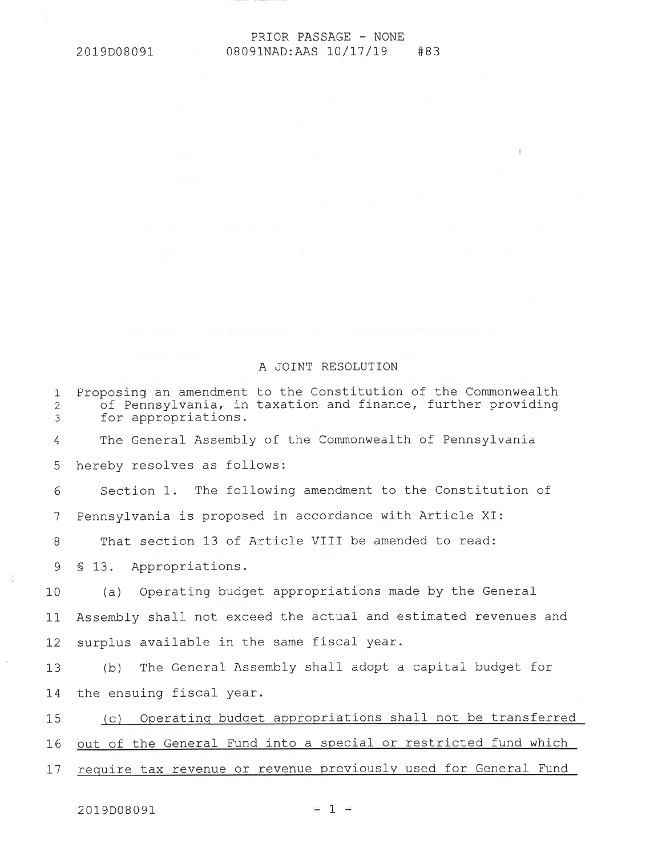## PRIOR PASSAGE - NONE 08091NAD:AAS 10/17/19 #83

## A JOINT RESOLUTION

| Proposing an amendment to the Constitution of the Commonwealth<br>$\mathbf{1}$<br>of Pennsylvania, in taxation and finance, further providing<br>$\overline{2}$<br>$\mathfrak{Z}$<br>for appropriations.<br>The General Assembly of the Commonwealth of Pennsylvania<br>4<br>5<br>hereby resolves as follows:<br>Section 1. The following amendment to the Constitution of<br>6<br>Pennsylvania is proposed in accordance with Article XI:<br>$7\phantom{.0}$<br>That section 13 of Article VIII be amended to read:<br>8<br>$\overline{9}$<br>\$13. Appropriations.<br>(a) Operating budget appropriations made by the General<br>10<br>Assembly shall not exceed the actual and estimated revenues and<br>11<br>surplus available in the same fiscal year.<br>12<br>(b) The General Assembly shall adopt a capital budget for<br>13<br>the ensuing fiscal year.<br>14<br>15<br>16<br>require tax revenue or revenue previously used for General Fund<br>17 |                                                                 |
|--------------------------------------------------------------------------------------------------------------------------------------------------------------------------------------------------------------------------------------------------------------------------------------------------------------------------------------------------------------------------------------------------------------------------------------------------------------------------------------------------------------------------------------------------------------------------------------------------------------------------------------------------------------------------------------------------------------------------------------------------------------------------------------------------------------------------------------------------------------------------------------------------------------------------------------------------------------|-----------------------------------------------------------------|
|                                                                                                                                                                                                                                                                                                                                                                                                                                                                                                                                                                                                                                                                                                                                                                                                                                                                                                                                                              |                                                                 |
|                                                                                                                                                                                                                                                                                                                                                                                                                                                                                                                                                                                                                                                                                                                                                                                                                                                                                                                                                              |                                                                 |
|                                                                                                                                                                                                                                                                                                                                                                                                                                                                                                                                                                                                                                                                                                                                                                                                                                                                                                                                                              |                                                                 |
|                                                                                                                                                                                                                                                                                                                                                                                                                                                                                                                                                                                                                                                                                                                                                                                                                                                                                                                                                              |                                                                 |
|                                                                                                                                                                                                                                                                                                                                                                                                                                                                                                                                                                                                                                                                                                                                                                                                                                                                                                                                                              |                                                                 |
|                                                                                                                                                                                                                                                                                                                                                                                                                                                                                                                                                                                                                                                                                                                                                                                                                                                                                                                                                              |                                                                 |
|                                                                                                                                                                                                                                                                                                                                                                                                                                                                                                                                                                                                                                                                                                                                                                                                                                                                                                                                                              |                                                                 |
|                                                                                                                                                                                                                                                                                                                                                                                                                                                                                                                                                                                                                                                                                                                                                                                                                                                                                                                                                              |                                                                 |
|                                                                                                                                                                                                                                                                                                                                                                                                                                                                                                                                                                                                                                                                                                                                                                                                                                                                                                                                                              |                                                                 |
|                                                                                                                                                                                                                                                                                                                                                                                                                                                                                                                                                                                                                                                                                                                                                                                                                                                                                                                                                              |                                                                 |
|                                                                                                                                                                                                                                                                                                                                                                                                                                                                                                                                                                                                                                                                                                                                                                                                                                                                                                                                                              |                                                                 |
|                                                                                                                                                                                                                                                                                                                                                                                                                                                                                                                                                                                                                                                                                                                                                                                                                                                                                                                                                              |                                                                 |
|                                                                                                                                                                                                                                                                                                                                                                                                                                                                                                                                                                                                                                                                                                                                                                                                                                                                                                                                                              | (c) Operating budget appropriations shall not be transferred    |
|                                                                                                                                                                                                                                                                                                                                                                                                                                                                                                                                                                                                                                                                                                                                                                                                                                                                                                                                                              | out of the General Fund into a special or restricted fund which |
|                                                                                                                                                                                                                                                                                                                                                                                                                                                                                                                                                                                                                                                                                                                                                                                                                                                                                                                                                              |                                                                 |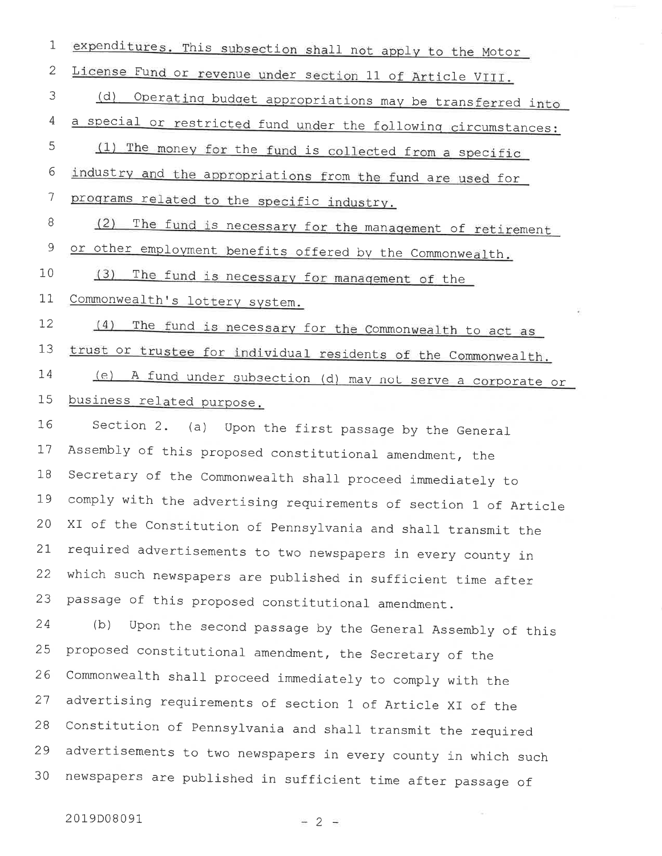| $\mathbf 1$    | expenditures. This subsection shall not apply to the Motor       |
|----------------|------------------------------------------------------------------|
| $\mathbf{2}$   | License Fund or revenue under section 11 of Article VIII.        |
| 3              | (d)<br>Operating budget appropriations may be transferred into   |
| $\overline{4}$ | a special or restricted fund under the following circumstances:  |
| 5              | (1) The money for the fund is collected from a specific          |
| 6              | industry and the appropriations from the fund are used for       |
| 7              | programs related to the specific industry.                       |
| 8              | (2)<br>The fund is necessary for the management of retirement    |
| $\mathsf 9$    | or other employment benefits offered by the Commonwealth.        |
| 10             | (3)<br>The fund is necessary for management of the               |
| 11             | Commonwealth's lottery system.                                   |
| 12             | (4)<br>The fund is necessary for the Commonwealth to act as      |
| 13             | trust or trustee for individual residents of the Commonwealth.   |
| 14             | (e)<br>A fund under subsection (d) may not serve a corporate or  |
| 15             | business related purpose.                                        |
| 16             | Section 2. (a) Upon the first passage by the General             |
|                |                                                                  |
| 17             | Assembly of this proposed constitutional amendment, the          |
| 18             | Secretary of the Commonwealth shall proceed immediately to       |
| 19             | comply with the advertising requirements of section 1 of Article |
| 20             | XI of the Constitution of Pennsylvania and shall transmit the    |
| 21             | required advertisements to two newspapers in every county in     |
| 22             | which such newspapers are published in sufficient time after     |
| 23             | passage of this proposed constitutional amendment.               |
| 24             | (b)<br>Upon the second passage by the General Assembly of this   |
| 25             | proposed constitutional amendment, the Secretary of the          |
| 26             | Commonwealth shall proceed immediately to comply with the        |
| 27             | advertising requirements of section 1 of Article XI of the       |
| 28             | Constitution of Pennsylvania and shall transmit the required     |
| 29             | advertisements to two newspapers in every county in which such   |

2019D08091

 $-2 =$ 

 $\sim$